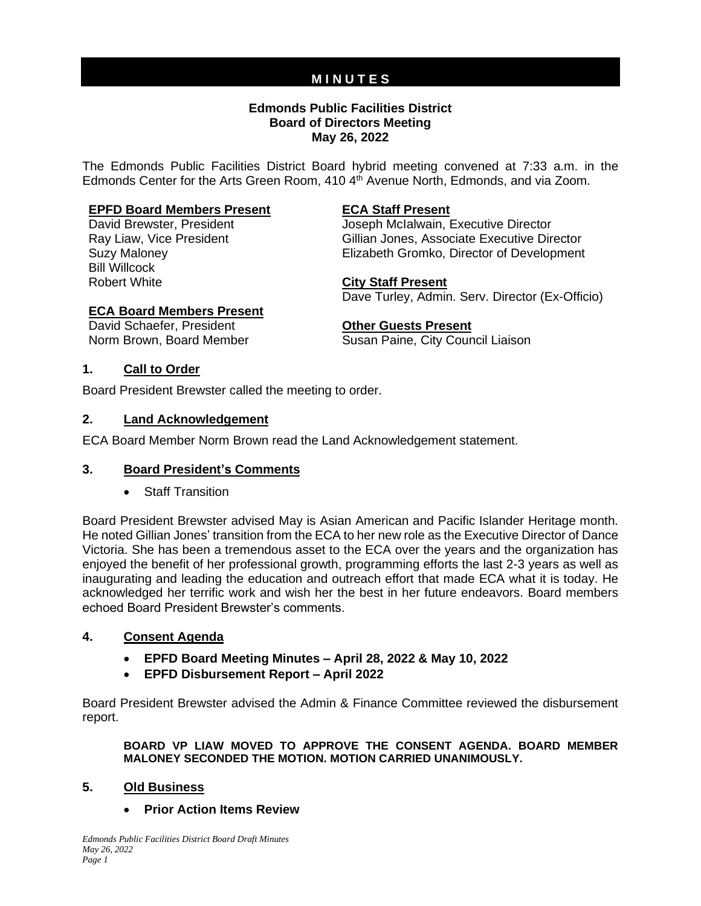# **M I N U T E S**

#### **Edmonds Public Facilities District Board of Directors Meeting May 26, 2022**

The Edmonds Public Facilities District Board hybrid meeting convened at 7:33 a.m. in the Edmonds Center for the Arts Green Room, 410 4<sup>th</sup> Avenue North, Edmonds, and via Zoom.

#### **EPFD Board Members Present ECA Staff Present**

Bill Willcock Robert White **City Staff Present**

David Brewster, President Joseph McIalwain, Executive Director Ray Liaw, Vice President **Gillian Jones, Associate Executive Director** Suzy Maloney Elizabeth Gromko, Director of Development

Dave Turley, Admin. Serv. Director (Ex-Officio)

#### **ECA Board Members Present**

David Schaefer, President **Constructed Constructer Cuests Present** Norm Brown, Board Member Susan Paine, City Council Liaison

#### **1. Call to Order**

Board President Brewster called the meeting to order.

#### **2. Land Acknowledgement**

ECA Board Member Norm Brown read the Land Acknowledgement statement.

#### **3. Board President's Comments**

• Staff Transition

Board President Brewster advised May is Asian American and Pacific Islander Heritage month. He noted Gillian Jones' transition from the ECA to her new role as the Executive Director of Dance Victoria. She has been a tremendous asset to the ECA over the years and the organization has enjoyed the benefit of her professional growth, programming efforts the last 2-3 years as well as inaugurating and leading the education and outreach effort that made ECA what it is today. He acknowledged her terrific work and wish her the best in her future endeavors. Board members echoed Board President Brewster's comments.

#### **4. Consent Agenda**

- **EPFD Board Meeting Minutes – April 28, 2022 & May 10, 2022**
- **EPFD Disbursement Report – April 2022**

Board President Brewster advised the Admin & Finance Committee reviewed the disbursement report.

**BOARD VP LIAW MOVED TO APPROVE THE CONSENT AGENDA. BOARD MEMBER MALONEY SECONDED THE MOTION. MOTION CARRIED UNANIMOUSLY.**

#### **5. Old Business**

#### • **Prior Action Items Review**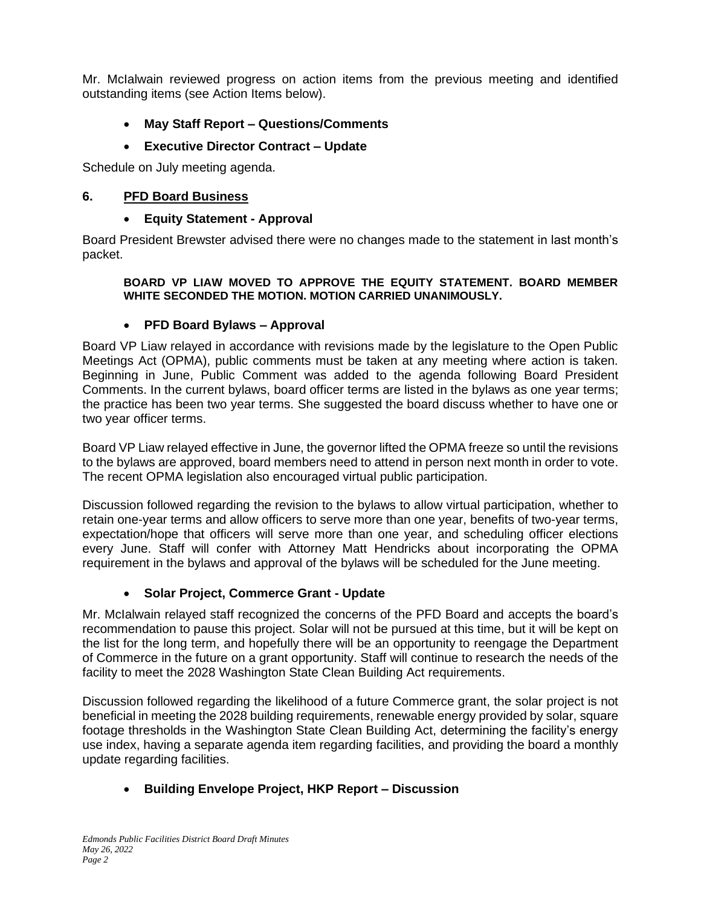Mr. McIalwain reviewed progress on action items from the previous meeting and identified outstanding items (see Action Items below).

• **May Staff Report – Questions/Comments**

# • **Executive Director Contract – Update**

Schedule on July meeting agenda.

#### **6. PFD Board Business**

#### • **Equity Statement - Approval**

Board President Brewster advised there were no changes made to the statement in last month's packet.

#### **BOARD VP LIAW MOVED TO APPROVE THE EQUITY STATEMENT. BOARD MEMBER WHITE SECONDED THE MOTION. MOTION CARRIED UNANIMOUSLY.**

#### • **PFD Board Bylaws – Approval**

Board VP Liaw relayed in accordance with revisions made by the legislature to the Open Public Meetings Act (OPMA), public comments must be taken at any meeting where action is taken. Beginning in June, Public Comment was added to the agenda following Board President Comments. In the current bylaws, board officer terms are listed in the bylaws as one year terms; the practice has been two year terms. She suggested the board discuss whether to have one or two year officer terms.

Board VP Liaw relayed effective in June, the governor lifted the OPMA freeze so until the revisions to the bylaws are approved, board members need to attend in person next month in order to vote. The recent OPMA legislation also encouraged virtual public participation.

Discussion followed regarding the revision to the bylaws to allow virtual participation, whether to retain one-year terms and allow officers to serve more than one year, benefits of two-year terms, expectation/hope that officers will serve more than one year, and scheduling officer elections every June. Staff will confer with Attorney Matt Hendricks about incorporating the OPMA requirement in the bylaws and approval of the bylaws will be scheduled for the June meeting.

# • **Solar Project, Commerce Grant - Update**

Mr. McIalwain relayed staff recognized the concerns of the PFD Board and accepts the board's recommendation to pause this project. Solar will not be pursued at this time, but it will be kept on the list for the long term, and hopefully there will be an opportunity to reengage the Department of Commerce in the future on a grant opportunity. Staff will continue to research the needs of the facility to meet the 2028 Washington State Clean Building Act requirements.

Discussion followed regarding the likelihood of a future Commerce grant, the solar project is not beneficial in meeting the 2028 building requirements, renewable energy provided by solar, square footage thresholds in the Washington State Clean Building Act, determining the facility's energy use index, having a separate agenda item regarding facilities, and providing the board a monthly update regarding facilities.

# • **Building Envelope Project, HKP Report – Discussion**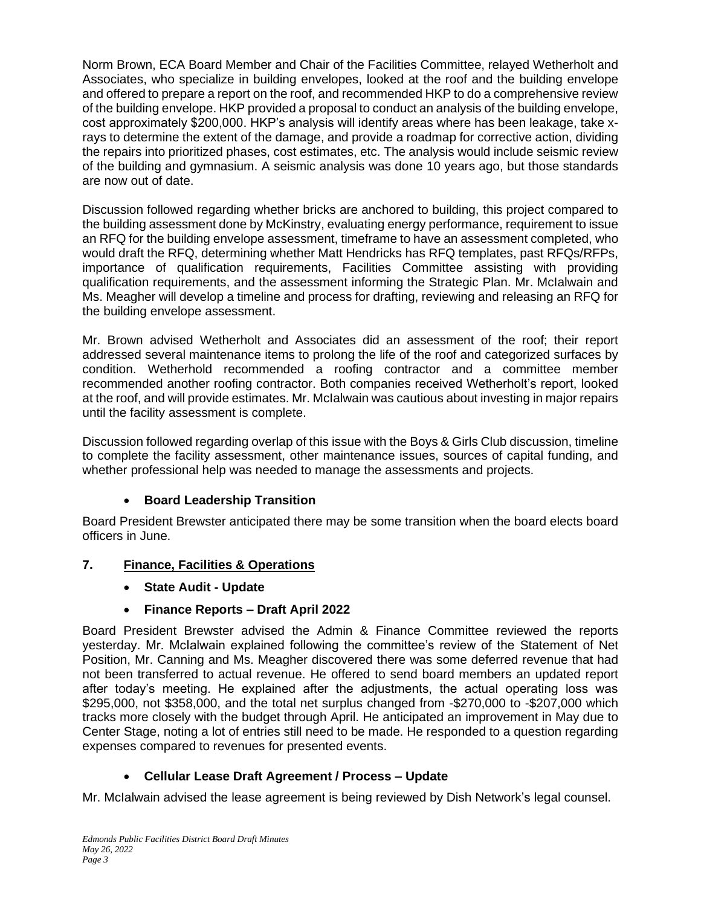Norm Brown, ECA Board Member and Chair of the Facilities Committee, relayed Wetherholt and Associates, who specialize in building envelopes, looked at the roof and the building envelope and offered to prepare a report on the roof, and recommended HKP to do a comprehensive review of the building envelope. HKP provided a proposal to conduct an analysis of the building envelope, cost approximately \$200,000. HKP's analysis will identify areas where has been leakage, take xrays to determine the extent of the damage, and provide a roadmap for corrective action, dividing the repairs into prioritized phases, cost estimates, etc. The analysis would include seismic review of the building and gymnasium. A seismic analysis was done 10 years ago, but those standards are now out of date.

Discussion followed regarding whether bricks are anchored to building, this project compared to the building assessment done by McKinstry, evaluating energy performance, requirement to issue an RFQ for the building envelope assessment, timeframe to have an assessment completed, who would draft the RFQ, determining whether Matt Hendricks has RFQ templates, past RFQs/RFPs, importance of qualification requirements, Facilities Committee assisting with providing qualification requirements, and the assessment informing the Strategic Plan. Mr. McIalwain and Ms. Meagher will develop a timeline and process for drafting, reviewing and releasing an RFQ for the building envelope assessment.

Mr. Brown advised Wetherholt and Associates did an assessment of the roof; their report addressed several maintenance items to prolong the life of the roof and categorized surfaces by condition. Wetherhold recommended a roofing contractor and a committee member recommended another roofing contractor. Both companies received Wetherholt's report, looked at the roof, and will provide estimates. Mr. McIalwain was cautious about investing in major repairs until the facility assessment is complete.

Discussion followed regarding overlap of this issue with the Boys & Girls Club discussion, timeline to complete the facility assessment, other maintenance issues, sources of capital funding, and whether professional help was needed to manage the assessments and projects.

# • **Board Leadership Transition**

Board President Brewster anticipated there may be some transition when the board elects board officers in June.

# **7. Finance, Facilities & Operations**

• **State Audit - Update**

# • **Finance Reports – Draft April 2022**

Board President Brewster advised the Admin & Finance Committee reviewed the reports yesterday. Mr. McIalwain explained following the committee's review of the Statement of Net Position, Mr. Canning and Ms. Meagher discovered there was some deferred revenue that had not been transferred to actual revenue. He offered to send board members an updated report after today's meeting. He explained after the adjustments, the actual operating loss was \$295,000, not \$358,000, and the total net surplus changed from -\$270,000 to -\$207,000 which tracks more closely with the budget through April. He anticipated an improvement in May due to Center Stage, noting a lot of entries still need to be made. He responded to a question regarding expenses compared to revenues for presented events.

# • **Cellular Lease Draft Agreement / Process – Update**

Mr. McIalwain advised the lease agreement is being reviewed by Dish Network's legal counsel.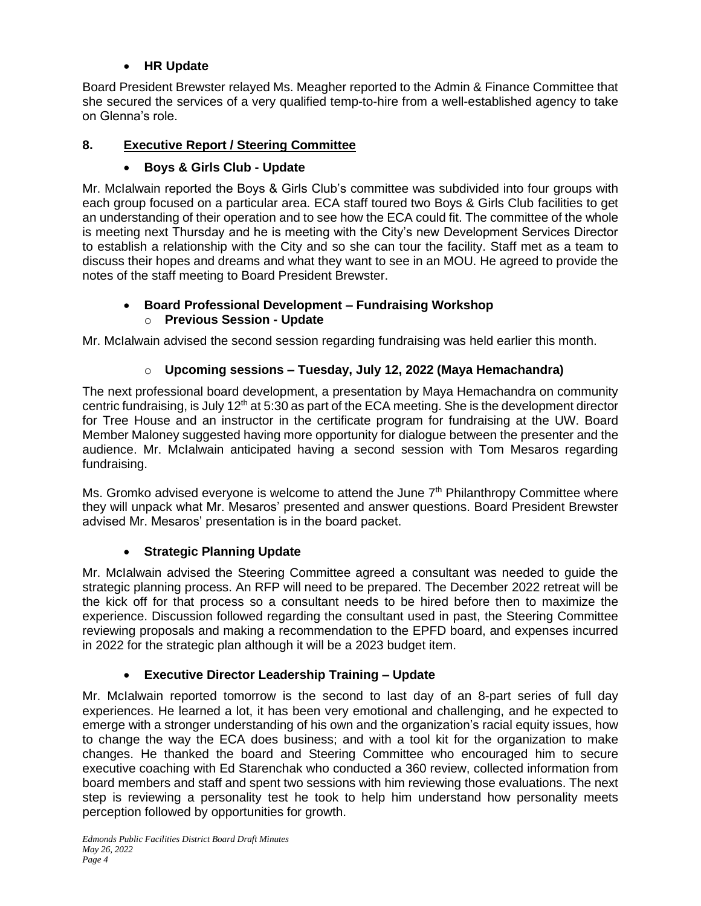# • **HR Update**

Board President Brewster relayed Ms. Meagher reported to the Admin & Finance Committee that she secured the services of a very qualified temp-to-hire from a well-established agency to take on Glenna's role.

# **8. Executive Report / Steering Committee**

# • **Boys & Girls Club - Update**

Mr. McIalwain reported the Boys & Girls Club's committee was subdivided into four groups with each group focused on a particular area. ECA staff toured two Boys & Girls Club facilities to get an understanding of their operation and to see how the ECA could fit. The committee of the whole is meeting next Thursday and he is meeting with the City's new Development Services Director to establish a relationship with the City and so she can tour the facility. Staff met as a team to discuss their hopes and dreams and what they want to see in an MOU. He agreed to provide the notes of the staff meeting to Board President Brewster.

### • **Board Professional Development – Fundraising Workshop** o **Previous Session - Update**

Mr. McIalwain advised the second session regarding fundraising was held earlier this month.

# o **Upcoming sessions – Tuesday, July 12, 2022 (Maya Hemachandra)**

The next professional board development, a presentation by Maya Hemachandra on community centric fundraising, is July 12<sup>th</sup> at 5:30 as part of the ECA meeting. She is the development director for Tree House and an instructor in the certificate program for fundraising at the UW. Board Member Maloney suggested having more opportunity for dialogue between the presenter and the audience. Mr. McIalwain anticipated having a second session with Tom Mesaros regarding fundraising.

Ms. Gromko advised everyone is welcome to attend the June  $7<sup>th</sup>$  Philanthropy Committee where they will unpack what Mr. Mesaros' presented and answer questions. Board President Brewster advised Mr. Mesaros' presentation is in the board packet.

# • **Strategic Planning Update**

Mr. McIalwain advised the Steering Committee agreed a consultant was needed to guide the strategic planning process. An RFP will need to be prepared. The December 2022 retreat will be the kick off for that process so a consultant needs to be hired before then to maximize the experience. Discussion followed regarding the consultant used in past, the Steering Committee reviewing proposals and making a recommendation to the EPFD board, and expenses incurred in 2022 for the strategic plan although it will be a 2023 budget item.

# • **Executive Director Leadership Training – Update**

Mr. McIalwain reported tomorrow is the second to last day of an 8-part series of full day experiences. He learned a lot, it has been very emotional and challenging, and he expected to emerge with a stronger understanding of his own and the organization's racial equity issues, how to change the way the ECA does business; and with a tool kit for the organization to make changes. He thanked the board and Steering Committee who encouraged him to secure executive coaching with Ed Starenchak who conducted a 360 review, collected information from board members and staff and spent two sessions with him reviewing those evaluations. The next step is reviewing a personality test he took to help him understand how personality meets perception followed by opportunities for growth.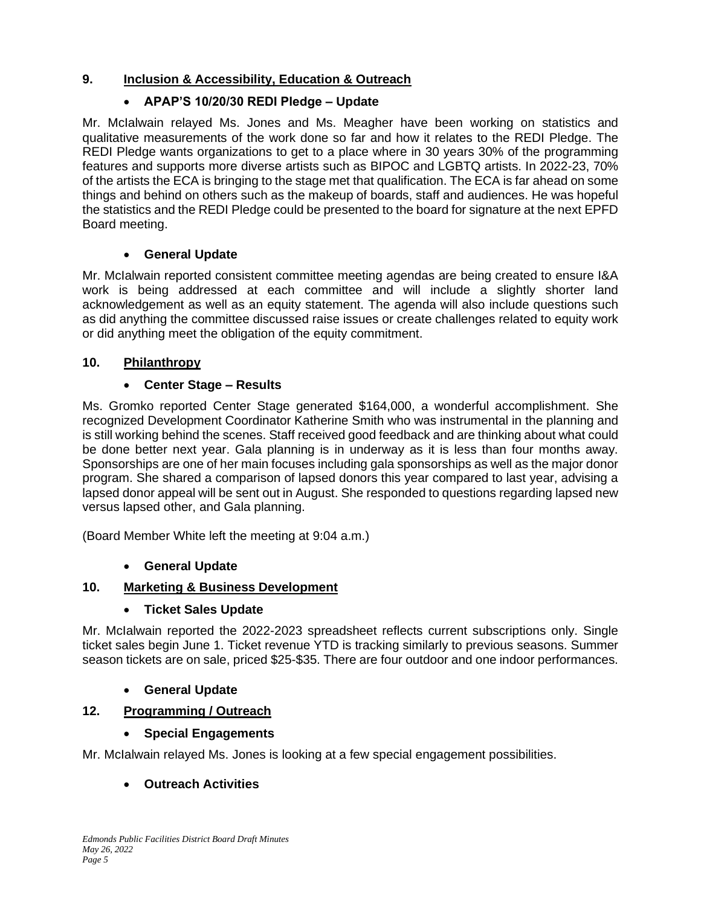# **9. Inclusion & Accessibility, Education & Outreach**

# • **APAP'S 10/20/30 REDI Pledge – Update**

Mr. McIalwain relayed Ms. Jones and Ms. Meagher have been working on statistics and qualitative measurements of the work done so far and how it relates to the REDI Pledge. The REDI Pledge wants organizations to get to a place where in 30 years 30% of the programming features and supports more diverse artists such as BIPOC and LGBTQ artists. In 2022-23, 70% of the artists the ECA is bringing to the stage met that qualification. The ECA is far ahead on some things and behind on others such as the makeup of boards, staff and audiences. He was hopeful the statistics and the REDI Pledge could be presented to the board for signature at the next EPFD Board meeting.

# • **General Update**

Mr. McIalwain reported consistent committee meeting agendas are being created to ensure I&A work is being addressed at each committee and will include a slightly shorter land acknowledgement as well as an equity statement. The agenda will also include questions such as did anything the committee discussed raise issues or create challenges related to equity work or did anything meet the obligation of the equity commitment.

# **10. Philanthropy**

# • **Center Stage – Results**

Ms. Gromko reported Center Stage generated \$164,000, a wonderful accomplishment. She recognized Development Coordinator Katherine Smith who was instrumental in the planning and is still working behind the scenes. Staff received good feedback and are thinking about what could be done better next year. Gala planning is in underway as it is less than four months away. Sponsorships are one of her main focuses including gala sponsorships as well as the major donor program. She shared a comparison of lapsed donors this year compared to last year, advising a lapsed donor appeal will be sent out in August. She responded to questions regarding lapsed new versus lapsed other, and Gala planning.

(Board Member White left the meeting at 9:04 a.m.)

# • **General Update**

# **10. Marketing & Business Development**

# • **Ticket Sales Update**

Mr. McIalwain reported the 2022-2023 spreadsheet reflects current subscriptions only. Single ticket sales begin June 1. Ticket revenue YTD is tracking similarly to previous seasons. Summer season tickets are on sale, priced \$25-\$35. There are four outdoor and one indoor performances.

# • **General Update**

# **12. Programming / Outreach**

# • **Special Engagements**

Mr. McIalwain relayed Ms. Jones is looking at a few special engagement possibilities.

# • **Outreach Activities**